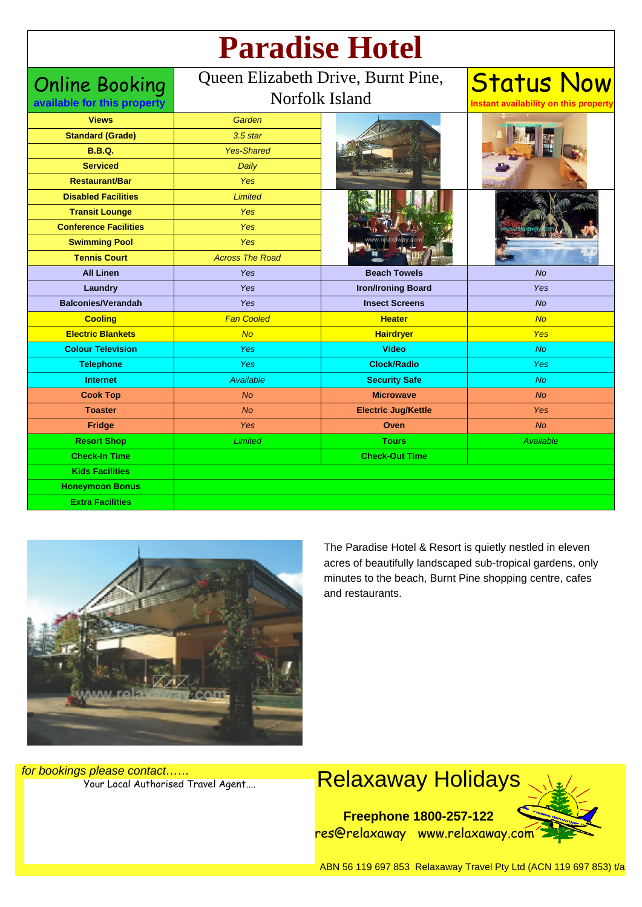| <b>Paradise Hotel</b> |  |
|-----------------------|--|
|                       |  |

| <b>Online Booking</b>        | Queen Elizabeth Drive, Burnt Pine, |                            | <b>Status Now</b>                     |
|------------------------------|------------------------------------|----------------------------|---------------------------------------|
| available for this property  | Norfolk Island                     |                            | Instant availability on this property |
| <b>Views</b>                 | Garden                             |                            |                                       |
| <b>Standard (Grade)</b>      | $3.5$ star                         |                            |                                       |
| <b>B.B.Q.</b>                | <b>Yes-Shared</b>                  |                            |                                       |
| <b>Serviced</b>              | Daily                              |                            |                                       |
| <b>Restaurant/Bar</b>        | Yes                                |                            |                                       |
| <b>Disabled Facilities</b>   | <b>Limited</b>                     |                            |                                       |
| <b>Transit Lounge</b>        | Yes                                |                            |                                       |
| <b>Conference Facilities</b> | Yes                                |                            |                                       |
| <b>Swimming Pool</b>         | Yes                                |                            |                                       |
| <b>Tennis Court</b>          | <b>Across The Road</b>             |                            |                                       |
| <b>All Linen</b>             | Yes                                | <b>Beach Towels</b>        | No                                    |
| Laundry                      | Yes                                | <b>Iron/Ironing Board</b>  | Yes                                   |
| <b>Balconies/Verandah</b>    | <b>Yes</b>                         | <b>Insect Screens</b>      | No                                    |
| <b>Cooling</b>               | <b>Fan Cooled</b>                  | <b>Heater</b>              | No                                    |
| <b>Electric Blankets</b>     | No                                 | <b>Hairdryer</b>           | <b>Yes</b>                            |
| <b>Colour Television</b>     | Yes                                | <b>Video</b>               | <b>No</b>                             |
| <b>Telephone</b>             | Yes                                | <b>Clock/Radio</b>         | Yes                                   |
| <b>Internet</b>              | Available                          | <b>Security Safe</b>       | <b>No</b>                             |
| <b>Cook Top</b>              | <b>No</b>                          | <b>Microwave</b>           | <b>No</b>                             |
| <b>Toaster</b>               | <b>No</b>                          | <b>Electric Jug/Kettle</b> | Yes                                   |
| Fridge                       | Yes                                | Oven                       | <b>No</b>                             |
| <b>Resort Shop</b>           | <b>Limited</b>                     | <b>Tours</b>               | Available                             |
| <b>Check-In Time</b>         |                                    | <b>Check-Out Time</b>      |                                       |
| <b>Kids Facilities</b>       |                                    |                            |                                       |
| <b>Honeymoon Bonus</b>       |                                    |                            |                                       |
| <b>Extra Facilities</b>      |                                    |                            |                                       |



The Paradise Hotel & Resort is quietly nestled in eleven acres of beautifully landscaped sub-tropical gardens, only minutes to the beach, Burnt Pine shopping centre, cafes and restaurants.

for bookings please contact……